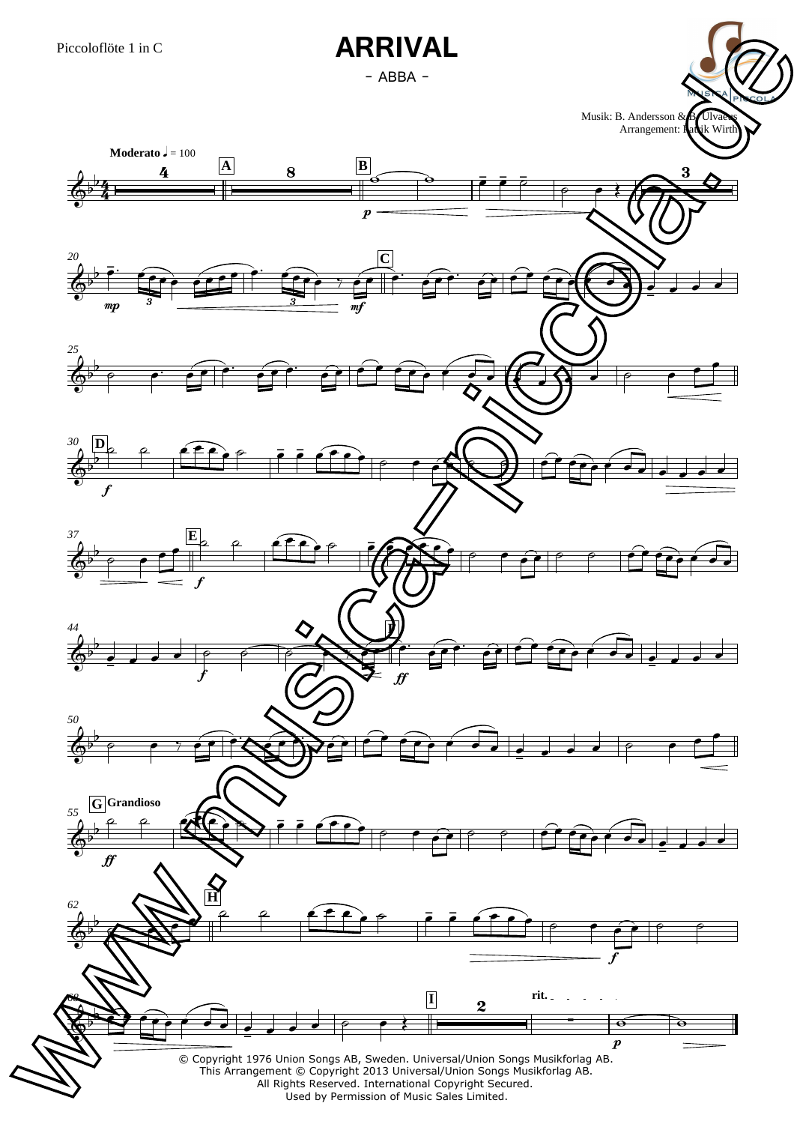

All Rights Reserved. International Copyright Secured. Used by Permission of Music Sales Limited.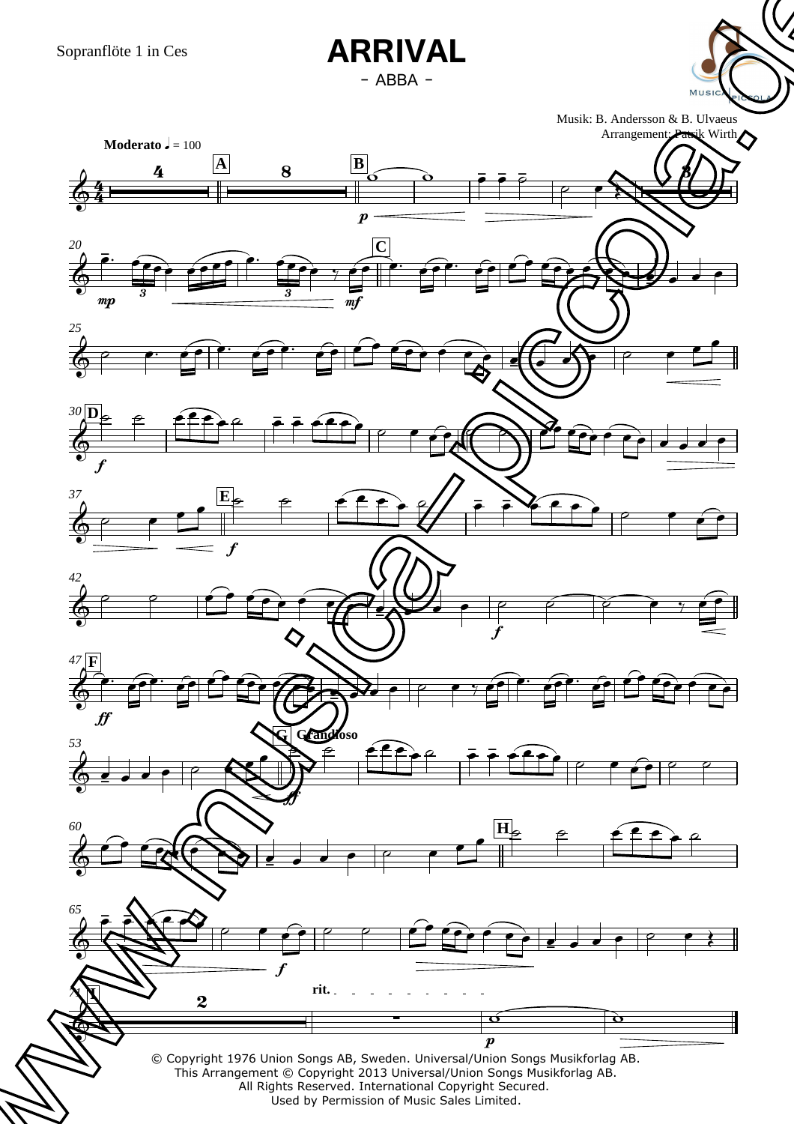

Musik: B. Andersson & B. Ulvaeus



**ARRIVAL**

- ABBA -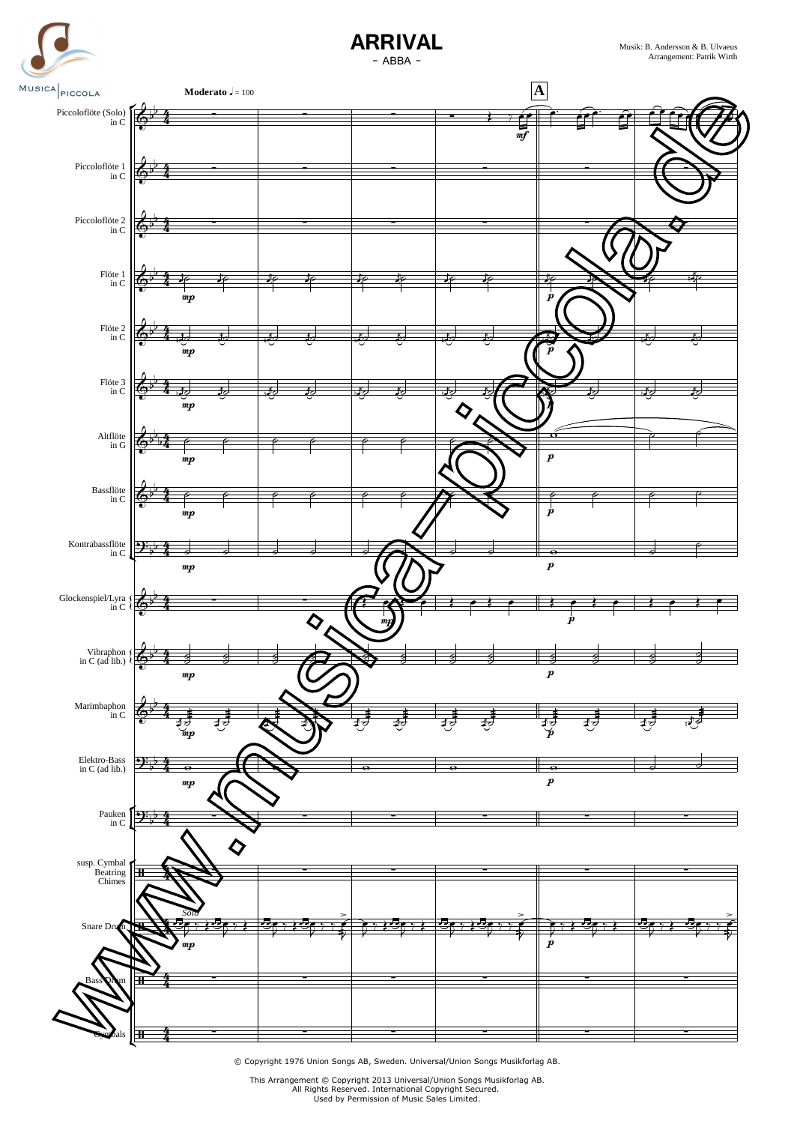



© Copyright 1976 Union Songs AB, Sweden. Universal/Union Songs Musikforlag AB.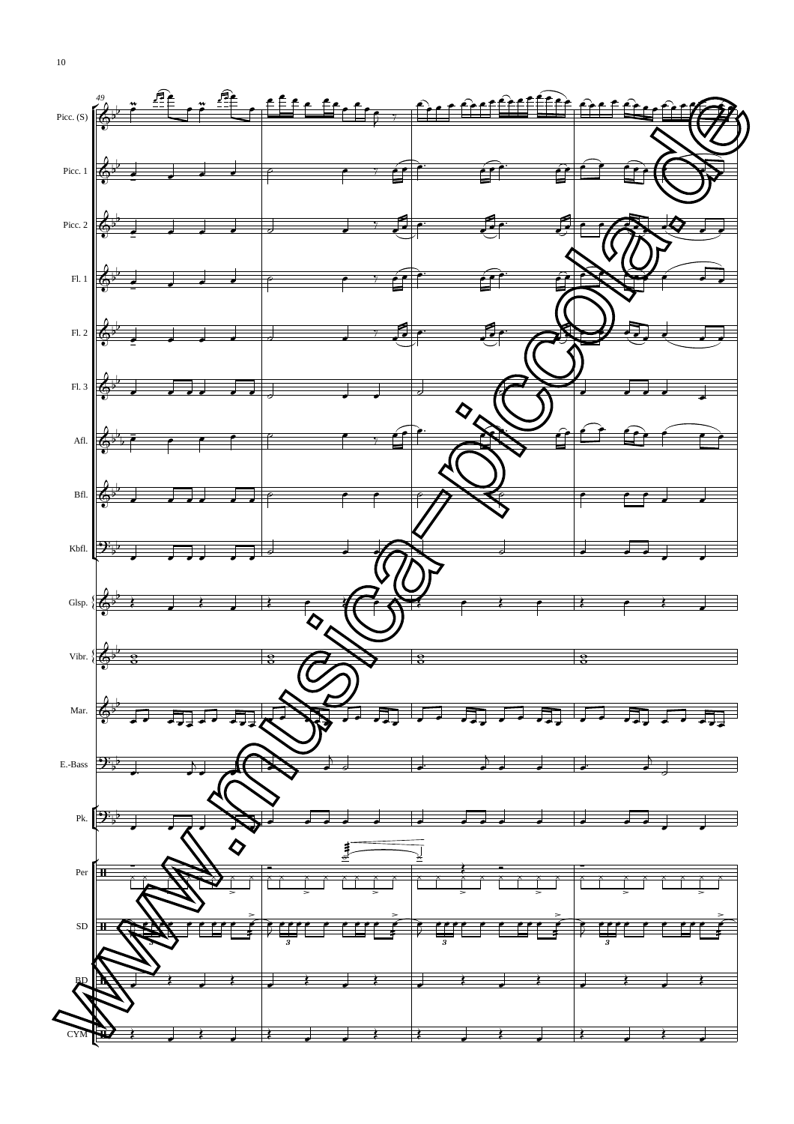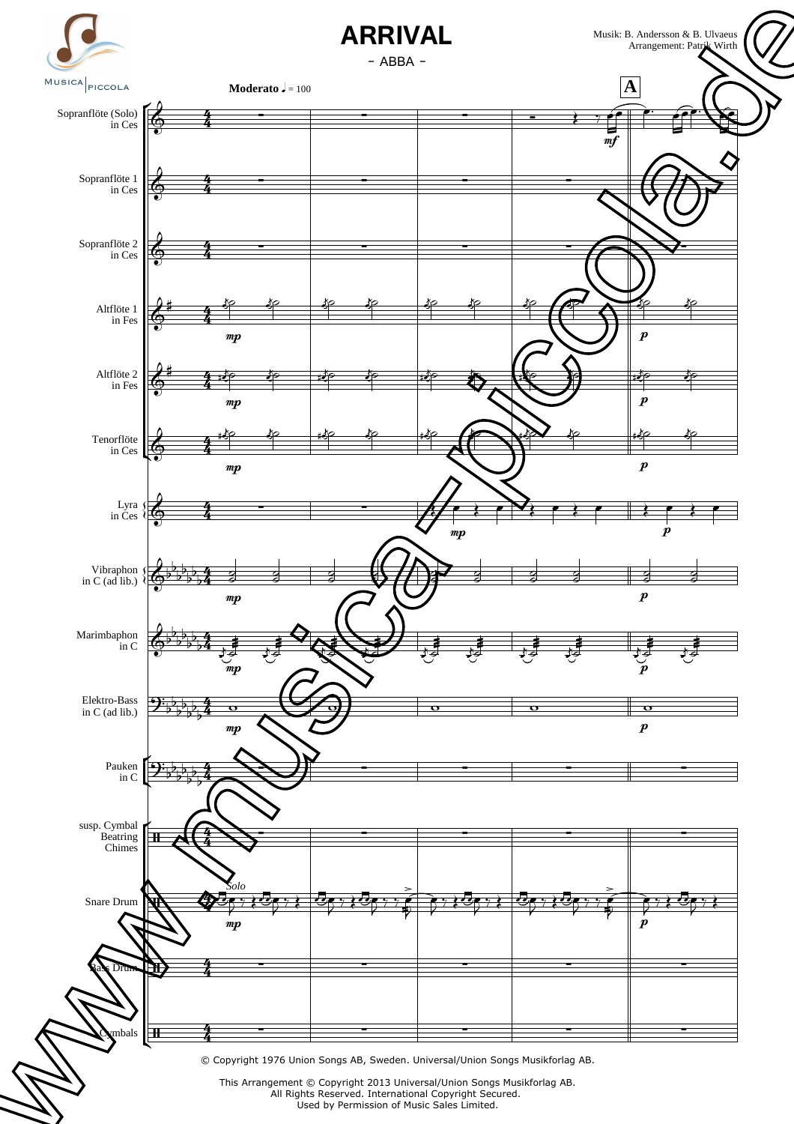